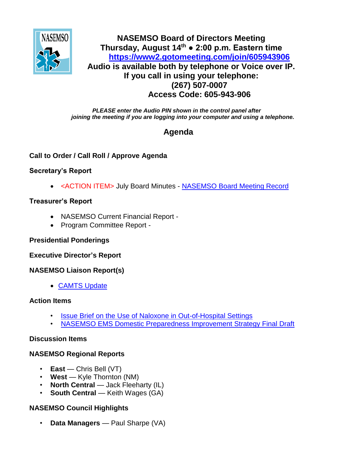

## **NASEMSO Board of Directors Meeting Thursday, August 14th ● 2:00 p.m. Eastern time <https://www2.gotomeeting.com/join/605943906> Audio is available both by telephone or Voice over IP. If you call in using your telephone: (267) 507-0007 Access Code: 605-943-906**

*PLEASE enter the Audio PIN shown in the control panel after joining the meeting if you are logging into your computer and using a telephone.*

# **Agenda**

### **Call to Order / Call Roll / Approve Agenda**

#### **Secretary's Report**

<ACTION ITEM> July Board Minutes - [NASEMSO Board Meeting Record](https://www.nasemso.org/Members/Board/documents/NASEMSO-Board-Minutes-10July2014.pdf)

#### **Treasurer's Report**

- NASEMSO Current Financial Report -
- Program Committee Report -

#### **Presidential Ponderings**

**Executive Director's Report**

#### **NASEMSO Liaison Report(s)**

[CAMTS Update](https://www.nasemso.org/Members/Board/documents/2014_07-Executive-Summary.pdf)

#### **Action Items**

- **[Issue Brief on the Use of Naloxone in Out-of-Hospital Settings](https://www.nasemso.org/Members/Board/documents/Issue-Brief-Naloxone-Final-Draft-for-Board-Review-21July2014.pdf)**
- [NASEMSO EMS Domestic Preparedness Improvement Strategy Final Draft](https://www.nasemso.org/Members/Board/documents/2014-08-04_NASEMSO_EMS_Domestic_Preparednesss_Project_Report.pdf)

#### **Discussion Items**

#### **NASEMSO Regional Reports**

- **East** Chris Bell (VT)
- **West** Kyle Thornton (NM)
- **North Central** Jack Fleeharty (IL)
- **South Central Keith Wages (GA)**

## **NASEMSO Council Highlights**

• **Data Managers** — Paul Sharpe (VA)